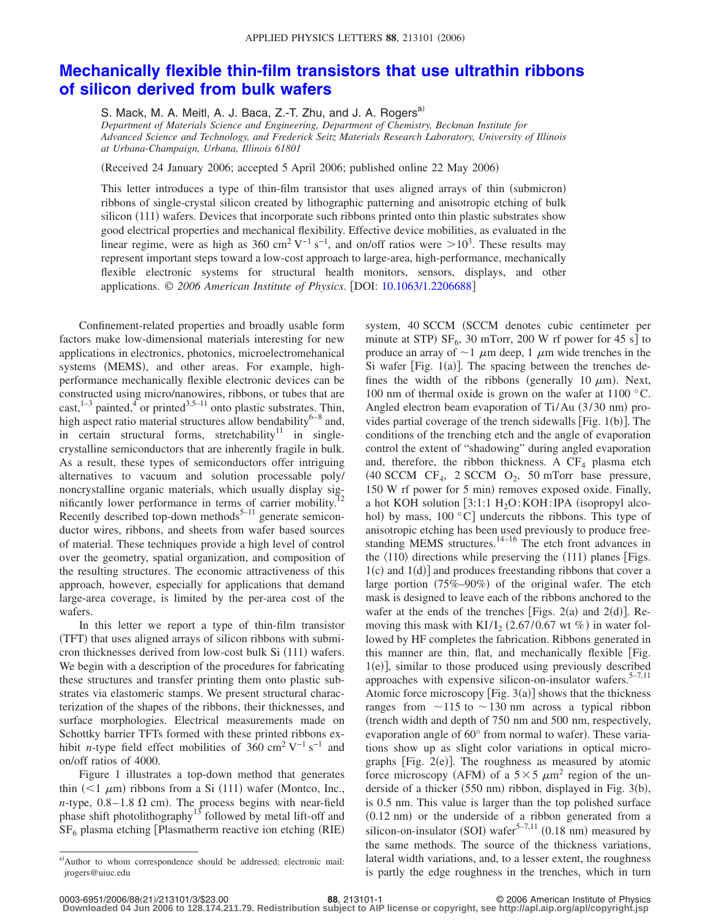## **[Mechanically flexible thin-film transistors that use ultrathin ribbons](http://dx.doi.org/10.1063/1.2206688) [of silicon derived from bulk wafers](http://dx.doi.org/10.1063/1.2206688)**

S. Mack, M. A. Meitl, A. J. Baca, Z.-T. Zhu, and J. A. Rogers<sup>a)</sup> *Department of Materials Science and Engineering, Department of Chemistry, Beckman Institute for Advanced Science and Technology, and Frederick Seitz Materials Research Laboratory, University of Illinois at Urbana-Champaign, Urbana, Illinois 61801*

(Received 24 January 2006; accepted 5 April 2006; published online 22 May 2006)

This letter introduces a type of thin-film transistor that uses aligned arrays of thin (submicron) ribbons of single-crystal silicon created by lithographic patterning and anisotropic etching of bulk silicon (111) wafers. Devices that incorporate such ribbons printed onto thin plastic substrates show good electrical properties and mechanical flexibility. Effective device mobilities, as evaluated in the linear regime, were as high as 360 cm<sup>2</sup> V<sup>-1</sup> s<sup>-1</sup>, and on/off ratios were  $>10^3$ . These results may represent important steps toward a low-cost approach to large-area, high-performance, mechanically flexible electronic systems for structural health monitors, sensors, displays, and other applications. © 2006 American Institute of Physics. [DOI: [10.1063/1.2206688](http://dx.doi.org/10.1063/1.2206688)]

Confinement-related properties and broadly usable form factors make low-dimensional materials interesting for new applications in electronics, photonics, microelectromehanical systems (MEMS), and other areas. For example, highperformance mechanically flexible electronic devices can be constructed using micro/nanowires, ribbons, or tubes that are cast,  $1-3$  painted,  $4\sigma$  or printed  $3.5-11$  onto plastic substrates. Thin, high aspect ratio material structures allow bendability<sup>6–8</sup> and, in certain structural forms, stretchability<sup>11</sup> in singlecrystalline semiconductors that are inherently fragile in bulk. As a result, these types of semiconductors offer intriguing alternatives to vacuum and solution processable poly/ noncrystalline organic materials, which usually display significantly lower performance in terms of carrier mobility.<sup>12</sup> Recently described top-down methods $5-11$  generate semiconductor wires, ribbons, and sheets from wafer based sources of material. These techniques provide a high level of control over the geometry, spatial organization, and composition of the resulting structures. The economic attractiveness of this approach, however, especially for applications that demand large-area coverage, is limited by the per-area cost of the wafers.

In this letter we report a type of thin-film transistor (TFT) that uses aligned arrays of silicon ribbons with submicron thicknesses derived from low-cost bulk Si (111) wafers. We begin with a description of the procedures for fabricating these structures and transfer printing them onto plastic substrates via elastomeric stamps. We present structural characterization of the shapes of the ribbons, their thicknesses, and surface morphologies. Electrical measurements made on Schottky barrier TFTs formed with these printed ribbons exhibit *n*-type field effect mobilities of 360 cm<sup>2</sup> V<sup>-1</sup> s<sup>-1</sup> and on/off ratios of 4000.

Figure 1 illustrates a top-down method that generates thin  $(< 1 \mu m)$  ribbons from a Si (111) wafer (Montco, Inc.,  $n$ -type,  $0.8-1.8 \Omega$  cm). The process begins with near-field phase shift photolithography<sup>13</sup> followed by metal lift-off and  $SF<sub>6</sub>$  plasma etching [Plasmatherm reactive ion etching (RIE)

system, 40 SCCM (SCCM denotes cubic centimeter per minute at STP)  $SF_6$ , 30 mTorr, 200 W rf power for 45 s] to produce an array of  $\sim$  1  $\mu$ m deep, 1  $\mu$ m wide trenches in the Si wafer [Fig.  $1(a)$ ]. The spacing between the trenches defines the width of the ribbons (generally 10  $\mu$ m). Next, 100 nm of thermal oxide is grown on the wafer at 1100 °C. Angled electron beam evaporation of Ti/Au (3/30 nm) provides partial coverage of the trench sidewalls [Fig. 1(b)]. The conditions of the trenching etch and the angle of evaporation control the extent of "shadowing" during angled evaporation and, therefore, the ribbon thickness. A  $CF_4$  plasma etch  $(40$  SCCM CF<sub>4</sub>, 2 SCCM O<sub>2</sub>, 50 mTorr base pressure, 150 W rf power for 5 min) removes exposed oxide. Finally, a hot KOH solution  $[3:1:1 H<sub>2</sub>O: KOH: IPA$  (isopropyl alcohol) by mass,  $100 °C$ ] undercuts the ribbons. This type of anisotropic etching has been used previously to produce freestanding MEMS structures.<sup>14–16</sup> The etch front advances in the  $\langle 110 \rangle$  directions while preserving the  $(111)$  planes [Figs.  $1(c)$  and  $1(d)$ ] and produces freestanding ribbons that cover a large portion (75%-90%) of the original wafer. The etch mask is designed to leave each of the ribbons anchored to the wafer at the ends of the trenches [Figs.  $2(a)$  and  $2(d)$ ]. Removing this mask with  $K I/I_2$  (2.67/0.67 wt %) in water followed by HF completes the fabrication. Ribbons generated in this manner are thin, flat, and mechanically flexible Fig. 1(e)], similar to those produced using previously described approaches with expensive silicon-on-insulator wafers. $5-7,11$ Atomic force microscopy [Fig.  $3(a)$ ] shows that the thickness ranges from  $\sim$ 115 to  $\sim$ 130 nm across a typical ribbon trench width and depth of 750 nm and 500 nm, respectively, evaporation angle of 60° from normal to wafer). These variations show up as slight color variations in optical micrographs [Fig.  $2(e)$ ]. The roughness as measured by atomic force microscopy (AFM) of a  $5 \times 5 \ \mu m^2$  region of the underside of a thicker (550 nm) ribbon, displayed in Fig. 3(b), is 0.5 nm. This value is larger than the top polished surface  $(0.12 \text{ nm})$  or the underside of a ribbon generated from a silicon-on-insulator (SOI) wafer<sup>5-7,11</sup> (0.18 nm) measured by the same methods. The source of the thickness variations, lateral width variations, and, to a lesser extent, the roughness is partly the edge roughness in the trenches, which in turn

a) Author to whom correspondence should be addressed; electronic mail: jrogers@uiuc.edu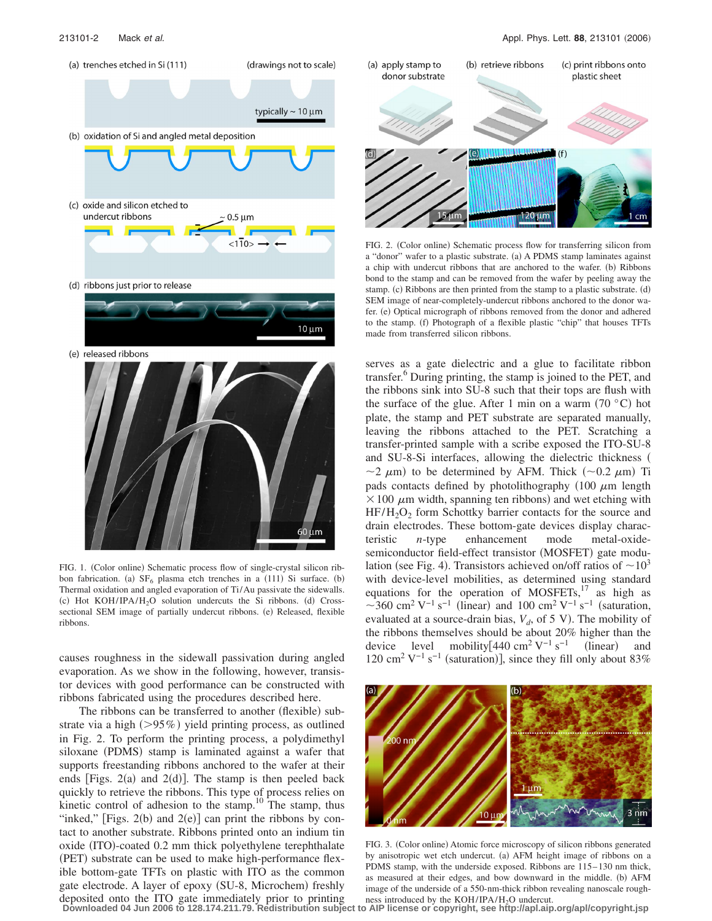

FIG. 1. (Color online) Schematic process flow of single-crystal silicon ribbon fabrication. (a)  $SF_6$  plasma etch trenches in a (111) Si surface. (b) Thermal oxidation and angled evaporation of Ti/Au passivate the sidewalls. (c) Hot KOH/IPA/H<sub>2</sub>O solution undercuts the Si ribbons. (d) Crosssectional SEM image of partially undercut ribbons. (e) Released, flexible ribbons.

causes roughness in the sidewall passivation during angled evaporation. As we show in the following, however, transistor devices with good performance can be constructed with ribbons fabricated using the procedures described here.

The ribbons can be transferred to another (flexible) substrate via a high  $(>\!95\%)$  yield printing process, as outlined in Fig. 2. To perform the printing process, a polydimethyl siloxane (PDMS) stamp is laminated against a wafer that supports freestanding ribbons anchored to the wafer at their ends [Figs.  $2(a)$  and  $2(d)$ ]. The stamp is then peeled back quickly to retrieve the ribbons. This type of process relies on kinetic control of adhesion to the stamp.<sup>10</sup> The stamp, thus "inked," [Figs.  $2(b)$  and  $2(e)$ ] can print the ribbons by contact to another substrate. Ribbons printed onto an indium tin oxide (ITO)-coated 0.2 mm thick polyethylene terephthalate (PET) substrate can be used to make high-performance flexible bottom-gate TFTs on plastic with ITO as the common gate electrode. A layer of epoxy (SU-8, Microchem) freshly deposited onto the ITO gate immediately prior to printing



FIG. 2. (Color online) Schematic process flow for transferring silicon from a "donor" wafer to a plastic substrate. (a) A PDMS stamp laminates against a chip with undercut ribbons that are anchored to the wafer. (b) Ribbons bond to the stamp and can be removed from the wafer by peeling away the stamp. (c) Ribbons are then printed from the stamp to a plastic substrate. (d) SEM image of near-completely-undercut ribbons anchored to the donor wafer. (e) Optical micrograph of ribbons removed from the donor and adhered to the stamp. (f) Photograph of a flexible plastic "chip" that houses TFTs made from transferred silicon ribbons.

serves as a gate dielectric and a glue to facilitate ribbon transfer.<sup>6</sup> During printing, the stamp is joined to the PET, and the ribbons sink into SU-8 such that their tops are flush with the surface of the glue. After 1 min on a warm  $(70 \degree C)$  hot plate, the stamp and PET substrate are separated manually, leaving the ribbons attached to the PET. Scratching a transfer-printed sample with a scribe exposed the ITO-SU-8 and SU-8-Si interfaces, allowing the dielectric thickness  $\sim$ 2  $\mu$ m) to be determined by AFM. Thick ( $\sim$ 0.2  $\mu$ m) Ti pads contacts defined by photolithography  $(100 \mu m)$  length  $\times$  100  $\mu$ m width, spanning ten ribbons) and wet etching with  $HF/H<sub>2</sub>O<sub>2</sub>$  form Schottky barrier contacts for the source and drain electrodes. These bottom-gate devices display characteristic *n*-type enhancement mode metal-oxidesemiconductor field-effect transistor (MOSFET) gate modulation (see Fig. 4). Transistors achieved on/off ratios of  $\sim 10^3$ with device-level mobilities, as determined using standard equations for the operation of MOSFETs, $17$  as high as ~360 cm<sup>2</sup> V<sup>-1</sup> s<sup>-1</sup> (linear) and 100 cm<sup>2</sup> V<sup>-1</sup> s<sup>-1</sup> (saturation, evaluated at a source-drain bias,  $V_d$ , of 5 V). The mobility of the ribbons themselves should be about 20% higher than the device level mobility[440 cm<sup>2</sup> V<sup>-1</sup> s<sup>-1</sup> (linear) and 120 cm<sup>2</sup> V<sup>-1</sup> s<sup>-1</sup> (saturation)], since they fill only about 83%



FIG. 3. (Color online) Atomic force microscopy of silicon ribbons generated by anisotropic wet etch undercut. (a) AFM height image of ribbons on a PDMS stamp, with the underside exposed. Ribbons are 115– 130 nm thick, as measured at their edges, and bow downward in the middle. (b) AFM image of the underside of a 550-nm-thick ribbon revealing nanoscale roughness introduced by the  $KOH/IPA/H<sub>2</sub>O$  undercut.

**Downloaded 04 Jun 2006 to 128.174.211.79. Redistribution subject to AIP license or copyright, see http://apl.aip.org/apl/copyright.jsp**